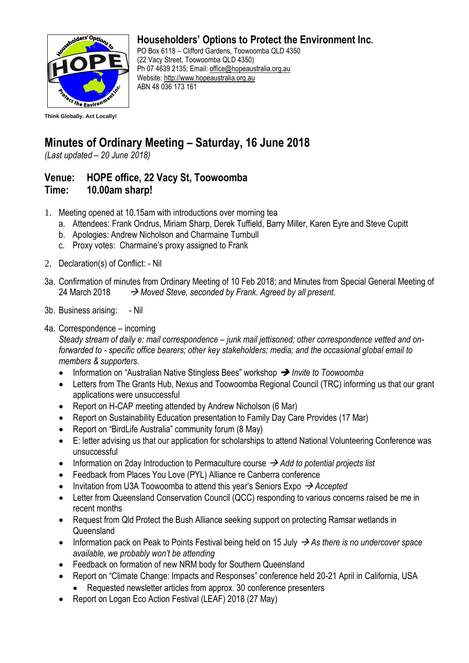

## **Householders' Options to Protect the Environment Inc.**

PO Box 6118 – Clifford Gardens, Toowoomba QLD 4350 (22 Vacy Street, Toowoomba QLD 4350) Ph 07 4639 2135; Email: [office@hopeaustralia.org.au](mailto:office@hopeaustralia.org.au)  Website: [http://www.hopeaustralia.org.au](http://www.hopeaustralia.org.au/) ABN 48 036 173 161

## **Minutes of Ordinary Meeting – Saturday, 16 June 2018**

*(Last updated – 20 June 2018)*

## **Venue: HOPE office, 22 Vacy St, Toowoomba Time: 10.00am sharp!**

- 1. Meeting opened at 10.15am with introductions over morning tea
	- a. Attendees: Frank Ondrus, Miriam Sharp, Derek Tuffield, Barry Miller, Karen Eyre and Steve Cupitt
	- b. Apologies: Andrew Nicholson and Charmaine Turnbull
	- c. Proxy votes: Charmaine's proxy assigned to Frank
- 2. Declaration(s) of Conflict: Nil
- 3a. Confirmation of minutes from Ordinary Meeting of 10 Feb 2018; and Minutes from Special General Meeting of 24 March 2018 → *Moved Steve, seconded by Frank. Agreed by all present.*
- 3b. Business arising: Nil
- 4a. Correspondence incoming

*Steady stream of daily e: mail correspondence – junk mail jettisoned; other correspondence vetted and onforwarded to - specific office bearers; other key stakeholders; media; and the occasional global email to members & supporters.* 

- Information on "Australian Native Stingless Bees" workshop ➔ *Invite to Toowoomba*
- Letters from The Grants Hub, Nexus and Toowoomba Regional Council (TRC) informing us that our grant applications were unsuccessful
- Report on H-CAP meeting attended by Andrew Nicholson (6 Mar)
- Report on Sustainability Education presentation to Family Day Care Provides (17 Mar)
- Report on "BirdLife Australia" community forum (8 May)
- E: letter advising us that our application for scholarships to attend National Volunteering Conference was unsuccessful
- Information on 2day Introduction to Permaculture course → *Add to potential projects list*
- Feedback from Places You Love (PYL) Alliance re Canberra conference
- Invitation from U3A Toowoomba to attend this year's Seniors Expo → *Accepted*
- Letter from Queensland Conservation Council (QCC) responding to various concerns raised be me in recent months
- Request from Qld Protect the Bush Alliance seeking support on protecting Ramsar wetlands in **Queensland**
- Information pack on Peak to Points Festival being held on 15 July → *As there is no undercover space available, we probably won't be attending*
- Feedback on formation of new NRM body for Southern Queensland
- Report on "Climate Change: Impacts and Responses" conference held 20-21 April in California, USA
	- Requested newsletter articles from approx. 30 conference presenters
- Report on Logan Eco Action Festival (LEAF) 2018 (27 May)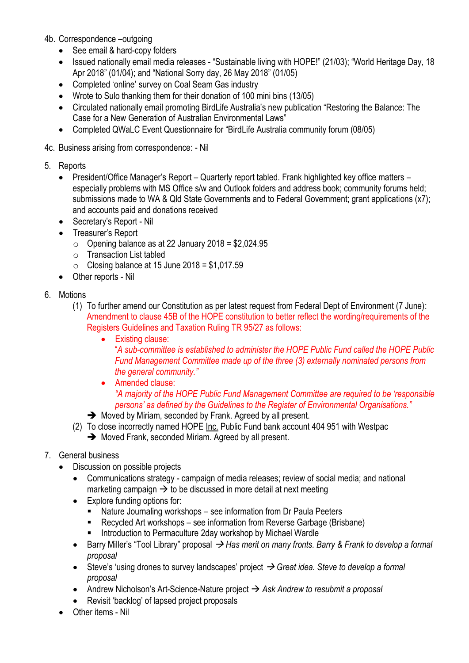- 4b. Correspondence –outgoing
	- See email & hard-copy folders
	- Issued nationally email media releases "Sustainable living with HOPE!" (21/03); "World Heritage Day, 18 Apr 2018" (01/04); and "National Sorry day, 26 May 2018" (01/05)
	- Completed 'online' survey on Coal Seam Gas industry
	- Wrote to Sulo thanking them for their donation of 100 mini bins (13/05)
	- Circulated nationally email promoting BirdLife Australia's new publication "Restoring the Balance: The Case for a New Generation of Australian Environmental Laws"
	- Completed QWaLC Event Questionnaire for "BirdLife Australia community forum (08/05)
- 4c. Business arising from correspondence: Nil
- 5. Reports
	- President/Office Manager's Report Quarterly report tabled. Frank highlighted key office matters especially problems with MS Office s/w and Outlook folders and address book; community forums held; submissions made to WA & Qld State Governments and to Federal Government; grant applications (x7); and accounts paid and donations received
	- Secretary's Report Nil
	- Treasurer's Report
		- $\circ$  Opening balance as at 22 January 2018 = \$2,024.95
		- o Transaction List tabled
		- $\circ$  Closing balance at 15 June 2018 = \$1,017.59
	- Other reports Nil
- 6. Motions
	- (1) To further amend our Constitution as per latest request from Federal Dept of Environment (7 June): Amendment to clause 45B of the HOPE constitution to better reflect the wording/requirements of the Registers Guidelines and Taxation Ruling TR 95/27 as follows:
		- Existing clause:

"*A sub-committee is established to administer the HOPE Public Fund called the HOPE Public Fund Management Committee made up of the three (3) externally nominated persons from the general community."*

- Amended clause: *"A majority of the HOPE Public Fund Management Committee are required to be 'responsible persons' as defined by the Guidelines to the Register of Environmental Organisations."*
- ➔ Moved by Miriam, seconded by Frank. Agreed by all present.
- (2) To close incorrectly named HOPE Inc. Public Fund bank account 404 951 with Westpac **→** Moved Frank, seconded Miriam. Agreed by all present.
- 7. General business
	- Discussion on possible projects
		- Communications strategy campaign of media releases; review of social media; and national marketing campaign  $\rightarrow$  to be discussed in more detail at next meeting
		- Explore funding options for:
			- Nature Journaling workshops see information from Dr Paula Peeters
			- Recycled Art workshops see information from Reverse Garbage (Brisbane)
			- Introduction to Permaculture 2day workshop by Michael Wardle
		- Barry Miller's "Tool Library" proposal → *Has merit on many fronts. Barry & Frank to develop a formal proposal*
		- Steve's 'using drones to survey landscapes' project → *Great idea. Steve to develop a formal proposal*
		- Andrew Nicholson's Art-Science-Nature project → *Ask Andrew to resubmit a proposal*
		- Revisit 'backlog' of lapsed project proposals
	- Other items Nil